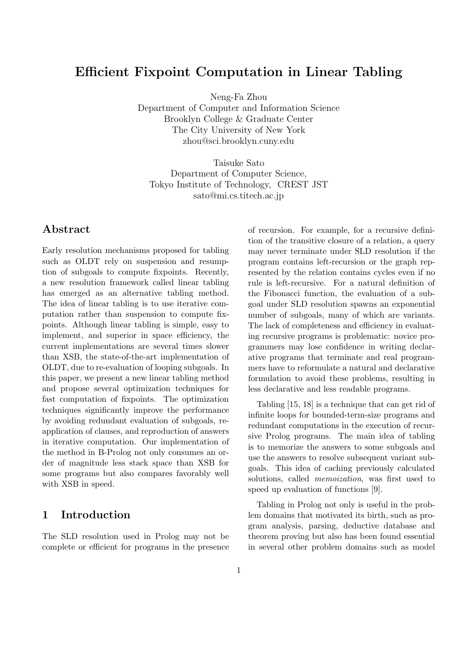# Efficient Fixpoint Computation in Linear Tabling

Neng-Fa Zhou

Department of Computer and Information Science Brooklyn College & Graduate Center The City University of New York zhou@sci.brooklyn.cuny.edu

Taisuke Sato Department of Computer Science, Tokyo Institute of Technology, CREST JST sato@mi.cs.titech.ac.jp

# Abstract

Early resolution mechanisms proposed for tabling such as OLDT rely on suspension and resumption of subgoals to compute fixpoints. Recently, a new resolution framework called linear tabling has emerged as an alternative tabling method. The idea of linear tabling is to use iterative computation rather than suspension to compute fixpoints. Although linear tabling is simple, easy to implement, and superior in space efficiency, the current implementations are several times slower than XSB, the state-of-the-art implementation of OLDT, due to re-evaluation of looping subgoals. In this paper, we present a new linear tabling method and propose several optimization techniques for fast computation of fixpoints. The optimization techniques significantly improve the performance by avoiding redundant evaluation of subgoals, reapplication of clauses, and reproduction of answers in iterative computation. Our implementation of the method in B-Prolog not only consumes an order of magnitude less stack space than XSB for some programs but also compares favorably well with XSB in speed.

# 1 Introduction

The SLD resolution used in Prolog may not be complete or efficient for programs in the presence of recursion. For example, for a recursive definition of the transitive closure of a relation, a query may never terminate under SLD resolution if the program contains left-recursion or the graph represented by the relation contains cycles even if no rule is left-recursive. For a natural definition of the Fibonacci function, the evaluation of a subgoal under SLD resolution spawns an exponential number of subgoals, many of which are variants. The lack of completeness and efficiency in evaluating recursive programs is problematic: novice programmers may lose confidence in writing declarative programs that terminate and real programmers have to reformulate a natural and declarative formulation to avoid these problems, resulting in less declarative and less readable programs.

Tabling [15, 18] is a technique that can get rid of infinite loops for bounded-term-size programs and redundant computations in the execution of recursive Prolog programs. The main idea of tabling is to memorize the answers to some subgoals and use the answers to resolve subsequent variant subgoals. This idea of caching previously calculated solutions, called *memoization*, was first used to speed up evaluation of functions [9].

Tabling in Prolog not only is useful in the problem domains that motivated its birth, such as program analysis, parsing, deductive database and theorem proving but also has been found essential in several other problem domains such as model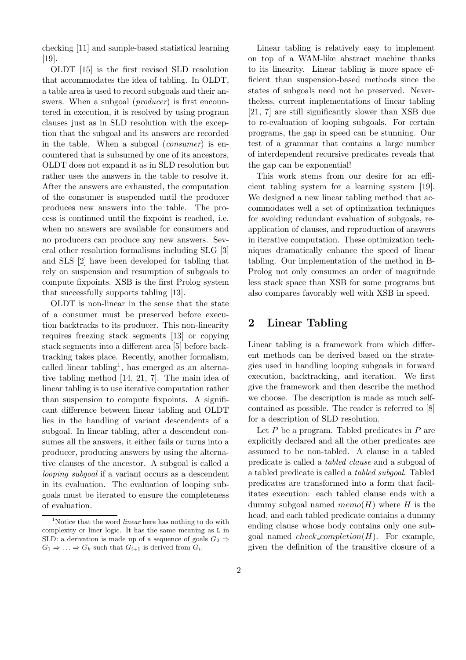checking [11] and sample-based statistical learning [19].

OLDT [15] is the first revised SLD resolution that accommodates the idea of tabling. In OLDT, a table area is used to record subgoals and their answers. When a subgoal (*producer*) is first encountered in execution, it is resolved by using program clauses just as in SLD resolution with the exception that the subgoal and its answers are recorded in the table. When a subgoal (consumer) is encountered that is subsumed by one of its ancestors, OLDT does not expand it as in SLD resolution but rather uses the answers in the table to resolve it. After the answers are exhausted, the computation of the consumer is suspended until the producer produces new answers into the table. The process is continued until the fixpoint is reached, i.e. when no answers are available for consumers and no producers can produce any new answers. Several other resolution formalisms including SLG [3] and SLS [2] have been developed for tabling that rely on suspension and resumption of subgoals to compute fixpoints. XSB is the first Prolog system that successfully supports tabling [13].

OLDT is non-linear in the sense that the state of a consumer must be preserved before execution backtracks to its producer. This non-linearity requires freezing stack segments [13] or copying stack segments into a different area [5] before backtracking takes place. Recently, another formalism, called linear tabling<sup>1</sup>, has emerged as an alternative tabling method [14, 21, 7]. The main idea of linear tabling is to use iterative computation rather than suspension to compute fixpoints. A significant difference between linear tabling and OLDT lies in the handling of variant descendents of a subgoal. In linear tabling, after a descendent consumes all the answers, it either fails or turns into a producer, producing answers by using the alternative clauses of the ancestor. A subgoal is called a looping subgoal if a variant occurs as a descendent in its evaluation. The evaluation of looping subgoals must be iterated to ensure the completeness of evaluation.

Linear tabling is relatively easy to implement on top of a WAM-like abstract machine thanks to its linearity. Linear tabling is more space efficient than suspension-based methods since the states of subgoals need not be preserved. Nevertheless, current implementations of linear tabling [21, 7] are still significantly slower than XSB due to re-evaluation of looping subgoals. For certain programs, the gap in speed can be stunning. Our test of a grammar that contains a large number of interdependent recursive predicates reveals that the gap can be exponential!

This work stems from our desire for an efficient tabling system for a learning system [19]. We designed a new linear tabling method that accommodates well a set of optimization techniques for avoiding redundant evaluation of subgoals, reapplication of clauses, and reproduction of answers in iterative computation. These optimization techniques dramatically enhance the speed of linear tabling. Our implementation of the method in B-Prolog not only consumes an order of magnitude less stack space than XSB for some programs but also compares favorably well with XSB in speed.

### 2 Linear Tabling

Linear tabling is a framework from which different methods can be derived based on the strategies used in handling looping subgoals in forward execution, backtracking, and iteration. We first give the framework and then describe the method we choose. The description is made as much selfcontained as possible. The reader is referred to [8] for a description of SLD resolution.

Let  $P$  be a program. Tabled predicates in  $P$  are explicitly declared and all the other predicates are assumed to be non-tabled. A clause in a tabled predicate is called a tabled clause and a subgoal of a tabled predicate is called a tabled subgoal. Tabled predicates are transformed into a form that facilitates execution: each tabled clause ends with a dummy subgoal named  $memo(H)$  where H is the head, and each tabled predicate contains a dummy ending clause whose body contains only one subgoal named *check\_completion(H)*. For example, given the definition of the transitive closure of a

<sup>&</sup>lt;sup>1</sup>Notice that the word *linear* here has nothing to do with complexity or liner logic. It has the same meaning as L in SLD: a derivation is made up of a sequence of goals  $G_0 \Rightarrow$  $G_1 \Rightarrow \ldots \Rightarrow G_k$  such that  $G_{i+1}$  is derived from  $G_i$ .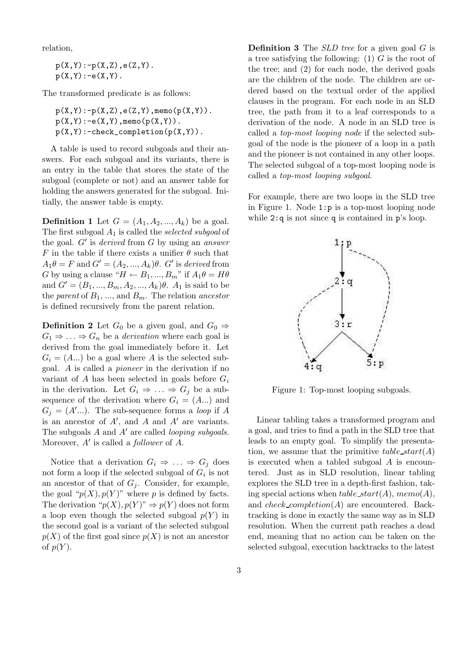relation,

 $p(X,Y):-p(X,Z),e(Z,Y)$ .  $p(X, Y) : -e(X, Y)$ .

The transformed predicate is as follows:

 $p(X,Y):-p(X,Z),e(Z,Y),$ memo( $p(X,Y)$ ).  $p(X,Y):-e(X,Y)$ , memo( $p(X,Y)$ ).  $p(X,Y):-\text{check\_completion}(p(X,Y))$ .

A table is used to record subgoals and their answers. For each subgoal and its variants, there is an entry in the table that stores the state of the subgoal (complete or not) and an answer table for holding the answers generated for the subgoal. Initially, the answer table is empty.

**Definition 1** Let  $G = (A_1, A_2, ..., A_k)$  be a goal. The first subgoal  $A_1$  is called the *selected subgoal* of the goal.  $G'$  is derived from G by using an answer F in the table if there exists a unifier  $\theta$  such that  $A_1\theta = F$  and  $G' = (A_2, ..., A_k)\theta$ . G' is derived from G by using a clause " $H \leftarrow B_1, ..., B_m$ " if  $A_1 \theta = H \theta$ and  $G' = (B_1, ..., B_m, A_2, ..., A_k)\theta$ .  $A_1$  is said to be the parent of  $B_1, \ldots$ , and  $B_m$ . The relation ancestor is defined recursively from the parent relation.

**Definition 2** Let  $G_0$  be a given goal, and  $G_0 \Rightarrow$  $G_1 \Rightarrow \ldots \Rightarrow G_n$  be a *derivation* where each goal is derived from the goal immediately before it. Let  $G_i = (A...)$  be a goal where A is the selected subgoal. A is called a pioneer in the derivation if no variant of A has been selected in goals before  $G_i$ in the derivation. Let  $G_i \Rightarrow \dots \Rightarrow G_j$  be a subsequence of the derivation where  $G_i = (A...)$  and  $G_j = (A'...).$  The sub-sequence forms a *loop* if A is an ancestor of  $A'$ , and  $\overline{A}$  and  $\overline{A}'$  are variants. The subgoals  $A$  and  $A'$  are called *looping subgoals*. Moreover,  $A'$  is called a *follower* of  $\overrightarrow{A}$ .

Notice that a derivation  $G_i \Rightarrow \dots \Rightarrow G_j$  does not form a loop if the selected subgoal of  $G_i$  is not an ancestor of that of  $G_i$ . Consider, for example, the goal " $p(X)$ ,  $p(Y)$ " where p is defined by facts. The derivation " $p(X), p(Y)$ "  $\Rightarrow p(Y)$  does not form a loop even though the selected subgoal  $p(Y)$  in the second goal is a variant of the selected subgoal  $p(X)$  of the first goal since  $p(X)$  is not an ancestor of  $p(Y)$ .

**Definition 3** The  $SLD$  tree for a given goal  $G$  is a tree satisfying the following: (1)  $G$  is the root of the tree; and (2) for each node, the derived goals are the children of the node. The children are ordered based on the textual order of the applied clauses in the program. For each node in an SLD tree, the path from it to a leaf corresponds to a derivation of the node. A node in an SLD tree is called a top-most looping node if the selected subgoal of the node is the pioneer of a loop in a path and the pioneer is not contained in any other loops. The selected subgoal of a top-most looping node is called a top-most looping subgoal.

For example, there are two loops in the SLD tree in Figure 1. Node 1:p is a top-most looping node while  $2:q$  is not since q is contained in  $p$ 's loop.



Figure 1: Top-most looping subgoals.

Linear tabling takes a transformed program and a goal, and tries to find a path in the SLD tree that leads to an empty goal. To simplify the presentation, we assume that the primitive table start( $A$ ) is executed when a tabled subgoal A is encountered. Just as in SLD resolution, linear tabling explores the SLD tree in a depth-first fashion, taking special actions when  $table\_start(A)$ ,  $memo(A)$ , and  $check\_completion(A)$  are encountered. Backtracking is done in exactly the same way as in SLD resolution. When the current path reaches a dead end, meaning that no action can be taken on the selected subgoal, execution backtracks to the latest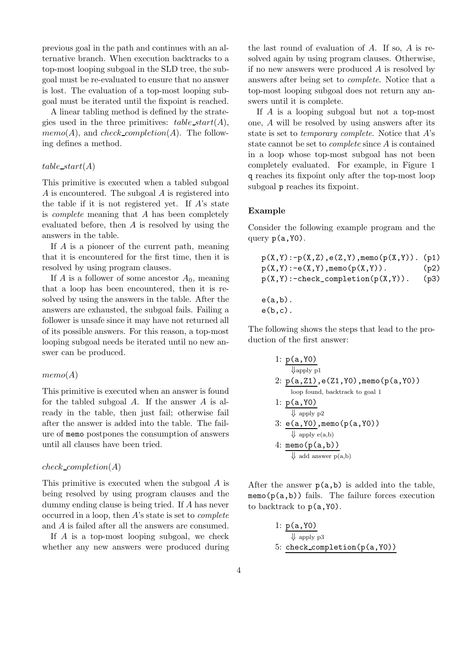previous goal in the path and continues with an alternative branch. When execution backtracks to a top-most looping subgoal in the SLD tree, the subgoal must be re-evaluated to ensure that no answer is lost. The evaluation of a top-most looping subgoal must be iterated until the fixpoint is reached.

A linear tabling method is defined by the strategies used in the three primitives:  $table\_start(A)$ ,  $memo(A)$ , and *check\_completion(A)*. The following defines a method.

#### $table\_start(A)$

This primitive is executed when a tabled subgoal A is encountered. The subgoal A is registered into the table if it is not registered yet. If  $A$ 's state is complete meaning that A has been completely evaluated before, then  $A$  is resolved by using the answers in the table.

If A is a pioneer of the current path, meaning that it is encountered for the first time, then it is resolved by using program clauses.

If A is a follower of some ancestor  $A_0$ , meaning that a loop has been encountered, then it is resolved by using the answers in the table. After the answers are exhausted, the subgoal fails. Failing a follower is unsafe since it may have not returned all of its possible answers. For this reason, a top-most looping subgoal needs be iterated until no new answer can be produced.

#### $memo(A)$

This primitive is executed when an answer is found for the tabled subgoal A. If the answer A is already in the table, then just fail; otherwise fail after the answer is added into the table. The failure of memo postpones the consumption of answers until all clauses have been tried.

#### $check\_completion(A)$

This primitive is executed when the subgoal A is being resolved by using program clauses and the dummy ending clause is being tried. If A has never occurred in a loop, then A's state is set to complete and A is failed after all the answers are consumed.

If A is a top-most looping subgoal, we check whether any new answers were produced during

the last round of evaluation of  $A$ . If so,  $A$  is resolved again by using program clauses. Otherwise, if no new answers were produced A is resolved by answers after being set to complete. Notice that a top-most looping subgoal does not return any answers until it is complete.

If A is a looping subgoal but not a top-most one, A will be resolved by using answers after its state is set to temporary complete. Notice that A's state cannot be set to complete since A is contained in a loop whose top-most subgoal has not been completely evaluated. For example, in Figure 1 q reaches its fixpoint only after the top-most loop subgoal p reaches its fixpoint.

#### Example

Consider the following example program and the query  $p(a, Y0)$ .

$$
p(X,Y):=p(X,Z), e(Z,Y), \text{memo}(p(X,Y)). (p1) p(X,Y):=e(X,Y), \text{memo}(p(X,Y)). (p2) p(X,Y):=check\_completion(p(X,Y)). (p3) e(a,b).
$$

 $e(b,c)$ .

The following shows the steps that lead to the production of the first answer:

1: 
$$
\frac{p(a, Y0)}{\sqrt{\text{apply p1}}}
$$
\n2: 
$$
\frac{p(a, Z1)}{\text{loop found, backtrack to goal 1}}
$$
\n1: 
$$
\frac{p(a, Y0)}{\sqrt{\text{apply p2}}}
$$
\n3: 
$$
\frac{e(a, Y0)}{\sqrt{\text{apply p2}}}
$$
\n4: 
$$
\frac{\text{mean}(p(a, Y0))}{\sqrt{\text{apply e(a,b)}}}
$$
\n5: 
$$
\frac{\text{mean}(p(a, b))}{\sqrt{\text{add answer p(a,b)}}}
$$

After the answer  $p(a,b)$  is added into the table,  $memo(p(a,b))$  fails. The failure forces execution to backtrack to  $p(a, Y0)$ .

1: 
$$
p(a, Y0)
$$
  
\n $\Downarrow$  apply p3  
\n5: check-completion(p(a, Y0))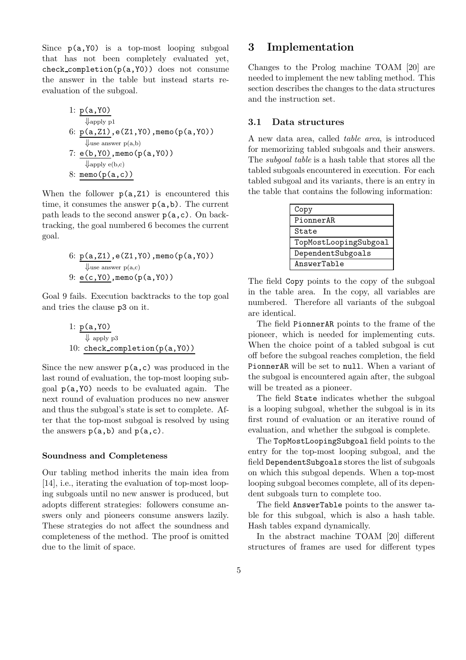Since  $p(a, Y0)$  is a top-most looping subgoal that has not been completely evaluated yet, check completion(p(a,Y0)) does not consume the answer in the table but instead starts reevaluation of the subgoal.

\n- 1: 
$$
p(a, Y0)
$$
\n- $\downarrow$  apply pl
\n- 6:  $p(a, Z1)$ , e(Z1, Y0), memo(p(a, Y0))
\n- $\downarrow$  use answer p(a,b)
\n- 7:  $\underline{e(b, Y0)}$ , memo(p(a, Y0))
\n- $\downarrow$  apply e(b,c)
\n- 8: memo(p(a, c))
\n

When the follower  $p(a, Z1)$  is encountered this time, it consumes the answer  $p(a,b)$ . The current path leads to the second answer  $p(a, c)$ . On backtracking, the goal numbered 6 becomes the current goal.

\n- 6: 
$$
p(a, Z1)
$$
, e(Z1, Y0), memo(p(a, Y0))
\n- Use answer p(a,c)
\n- 9:  $e(c, Y0)$ , memo(p(a, Y0))
\n

Goal 9 fails. Execution backtracks to the top goal and tries the clause p3 on it.

1: 
$$
p(a, Y0)
$$
  
\n $\Downarrow$  apply p3  
\n10: check-completion(p(a, Y0))

Since the new answer  $p(a, c)$  was produced in the last round of evaluation, the top-most looping subgoal p(a,Y0) needs to be evaluated again. The next round of evaluation produces no new answer and thus the subgoal's state is set to complete. After that the top-most subgoal is resolved by using the answers  $p(a,b)$  and  $p(a,c)$ .

#### Soundness and Completeness

Our tabling method inherits the main idea from [14], i.e., iterating the evaluation of top-most looping subgoals until no new answer is produced, but adopts different strategies: followers consume answers only and pioneers consume answers lazily. These strategies do not affect the soundness and completeness of the method. The proof is omitted due to the limit of space.

### 3 Implementation

Changes to the Prolog machine TOAM [20] are needed to implement the new tabling method. This section describes the changes to the data structures and the instruction set.

### 3.1 Data structures

A new data area, called table area, is introduced for memorizing tabled subgoals and their answers. The subgoal table is a hash table that stores all the tabled subgoals encountered in execution. For each tabled subgoal and its variants, there is an entry in the table that contains the following information:

| Copy                  |
|-----------------------|
| PionnerAR             |
| State                 |
| TopMostLoopingSubgoal |
| DependentSubgoals     |
| AnswerTable           |

The field Copy points to the copy of the subgoal in the table area. In the copy, all variables are numbered. Therefore all variants of the subgoal are identical.

The field PionnerAR points to the frame of the pioneer, which is needed for implementing cuts. When the choice point of a tabled subgoal is cut off before the subgoal reaches completion, the field PionnerAR will be set to null. When a variant of the subgoal is encountered again after, the subgoal will be treated as a pioneer.

The field State indicates whether the subgoal is a looping subgoal, whether the subgoal is in its first round of evaluation or an iterative round of evaluation, and whether the subgoal is complete.

The TopMostLoopingSubgoal field points to the entry for the top-most looping subgoal, and the field DependentSubgoals stores the list of subgoals on which this subgoal depends. When a top-most looping subgoal becomes complete, all of its dependent subgoals turn to complete too.

The field AnswerTable points to the answer table for this subgoal, which is also a hash table. Hash tables expand dynamically.

In the abstract machine TOAM [20] different structures of frames are used for different types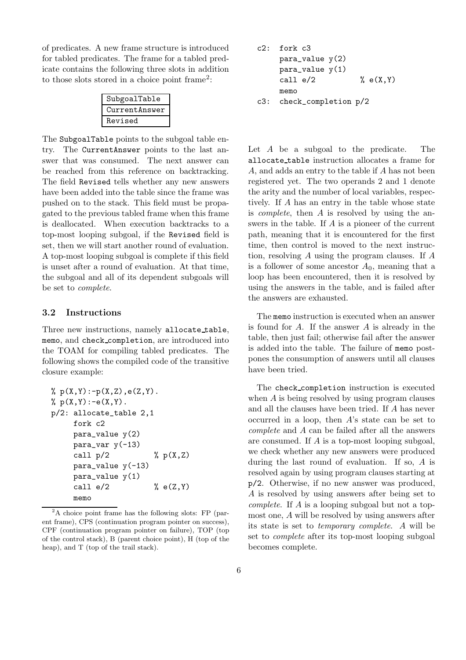of predicates. A new frame structure is introduced for tabled predicates. The frame for a tabled predicate contains the following three slots in addition to those slots stored in a choice point frame<sup>2</sup>:

| SubgoalTable  |
|---------------|
| CurrentAnswer |
| Revised       |

The SubgoalTable points to the subgoal table entry. The CurrentAnswer points to the last answer that was consumed. The next answer can be reached from this reference on backtracking. The field Revised tells whether any new answers have been added into the table since the frame was pushed on to the stack. This field must be propagated to the previous tabled frame when this frame is deallocated. When execution backtracks to a top-most looping subgoal, if the Revised field is set, then we will start another round of evaluation. A top-most looping subgoal is complete if this field is unset after a round of evaluation. At that time, the subgoal and all of its dependent subgoals will be set to complete.

### 3.2 Instructions

Three new instructions, namely allocate table, memo, and check completion, are introduced into the TOAM for compiling tabled predicates. The following shows the compiled code of the transitive closure example:

% p(X,Y):-p(X,Z),e(Z,Y). % p(X,Y):-e(X,Y). p/2: allocate\_table 2,1 fork c2 para\_value y(2) para\_var y(-13) call p/2 % p(X,Z) para\_value y(-13) para\_value y(1) call e/2 % e(Z,Y) memo

<sup>2</sup>A choice point frame has the following slots: FP (parent frame), CPS (continuation program pointer on success), CPF (continuation program pointer on failure), TOP (top of the control stack), B (parent choice point), H (top of the heap), and T (top of the trail stack).

c2: fork c3 para\_value y(2) para\_value y(1) call e/2 % e(X,Y) memo c3: check\_completion p/2

Let A be a subgoal to the predicate. The allocate table instruction allocates a frame for A, and adds an entry to the table if A has not been registered yet. The two operands 2 and 1 denote the arity and the number of local variables, respectively. If A has an entry in the table whose state is complete, then A is resolved by using the answers in the table. If A is a pioneer of the current path, meaning that it is encountered for the first time, then control is moved to the next instruction, resolving A using the program clauses. If A is a follower of some ancestor  $A_0$ , meaning that a loop has been encountered, then it is resolved by using the answers in the table, and is failed after the answers are exhausted.

The memo instruction is executed when an answer is found for  $A$ . If the answer  $A$  is already in the table, then just fail; otherwise fail after the answer is added into the table. The failure of memo postpones the consumption of answers until all clauses have been tried.

The check completion instruction is executed when A is being resolved by using program clauses and all the clauses have been tried. If A has never occurred in a loop, then A's state can be set to complete and A can be failed after all the answers are consumed. If A is a top-most looping subgoal, we check whether any new answers were produced during the last round of evaluation. If so, A is resolved again by using program clauses starting at p/2. Otherwise, if no new answer was produced, A is resolved by using answers after being set to complete. If A is a looping subgoal but not a topmost one, A will be resolved by using answers after its state is set to temporary complete. A will be set to complete after its top-most looping subgoal becomes complete.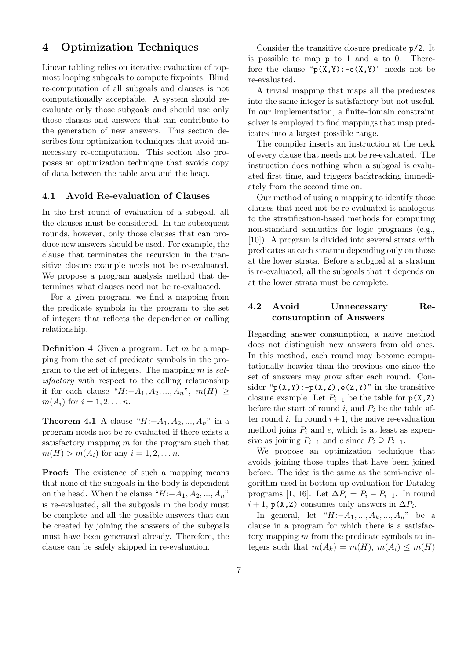## 4 Optimization Techniques

Linear tabling relies on iterative evaluation of topmost looping subgoals to compute fixpoints. Blind re-computation of all subgoals and clauses is not computationally acceptable. A system should reevaluate only those subgoals and should use only those clauses and answers that can contribute to the generation of new answers. This section describes four optimization techniques that avoid unnecessary re-computation. This section also proposes an optimization technique that avoids copy of data between the table area and the heap.

#### 4.1 Avoid Re-evaluation of Clauses

In the first round of evaluation of a subgoal, all the clauses must be considered. In the subsequent rounds, however, only those clauses that can produce new answers should be used. For example, the clause that terminates the recursion in the transitive closure example needs not be re-evaluated. We propose a program analysis method that determines what clauses need not be re-evaluated.

For a given program, we find a mapping from the predicate symbols in the program to the set of integers that reflects the dependence or calling relationship.

**Definition 4** Given a program. Let  $m$  be a mapping from the set of predicate symbols in the program to the set of integers. The mapping  $m$  is satisfactory with respect to the calling relationship if for each clause " $H$ :− $A_1, A_2, ..., A_n$ ",  $m(H) \geq$  $m(A_i)$  for  $i = 1, 2, ..., n$ .

**Theorem 4.1** A clause " $H: -A_1, A_2, ..., A_n$ " in a program needs not be re-evaluated if there exists a satisfactory mapping  $m$  for the program such that  $m(H) > m(A_i)$  for any  $i = 1, 2, ..., n$ .

**Proof:** The existence of such a mapping means that none of the subgoals in the body is dependent on the head. When the clause " $H$ :− $A_1, A_2, ..., A_n$ " is re-evaluated, all the subgoals in the body must be complete and all the possible answers that can be created by joining the answers of the subgoals must have been generated already. Therefore, the clause can be safely skipped in re-evaluation.

Consider the transitive closure predicate p/2. It is possible to map p to 1 and e to 0. Therefore the clause " $p(X, Y)$ :-e $(X, Y)$ " needs not be re-evaluated.

A trivial mapping that maps all the predicates into the same integer is satisfactory but not useful. In our implementation, a finite-domain constraint solver is employed to find mappings that map predicates into a largest possible range.

The compiler inserts an instruction at the neck of every clause that needs not be re-evaluated. The instruction does nothing when a subgoal is evaluated first time, and triggers backtracking immediately from the second time on.

Our method of using a mapping to identify those clauses that need not be re-evaluated is analogous to the stratification-based methods for computing non-standard semantics for logic programs (e.g., [10]). A program is divided into several strata with predicates at each stratum depending only on those at the lower strata. Before a subgoal at a stratum is re-evaluated, all the subgoals that it depends on at the lower strata must be complete.

### 4.2 Avoid Unnecessary Reconsumption of Answers

Regarding answer consumption, a naive method does not distinguish new answers from old ones. In this method, each round may become computationally heavier than the previous one since the set of answers may grow after each round. Consider " $p(X,Y)$ :- $p(X,Z)$ ,  $e(Z,Y)$ " in the transitive closure example. Let  $P_{i-1}$  be the table for  $p(X, Z)$ before the start of round i, and  $P_i$  be the table after round i. In round  $i+1$ , the naive re-evaluation method joins  $P_i$  and  $e$ , which is at least as expensive as joining  $P_{i-1}$  and  $e$  since  $P_i \supseteq P_{i-1}$ .

We propose an optimization technique that avoids joining those tuples that have been joined before. The idea is the same as the semi-naive algorithm used in bottom-up evaluation for Datalog programs [1, 16]. Let  $\Delta P_i = P_i - P_{i-1}$ . In round  $i + 1$ , p(X,Z) consumes only answers in  $\Delta P_i$ .

In general, let " $H: -A_1, ..., A_k, ..., A_n$ " be a clause in a program for which there is a satisfactory mapping m from the predicate symbols to integers such that  $m(A_k) = m(H)$ ,  $m(A_i) \leq m(H)$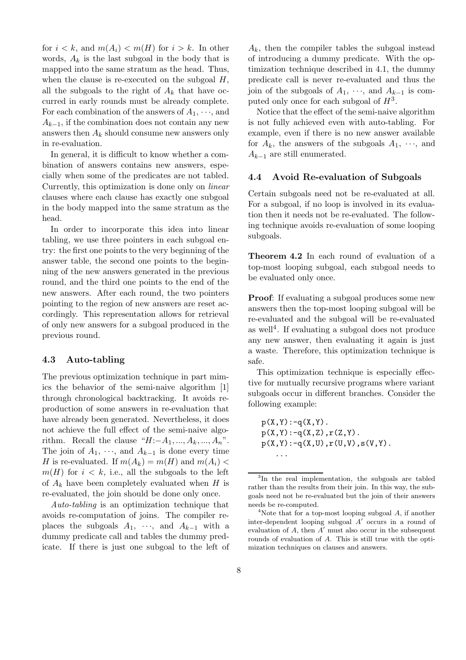for  $i < k$ , and  $m(A_i) < m(H)$  for  $i > k$ . In other words,  $A_k$  is the last subgoal in the body that is mapped into the same stratum as the head. Thus, when the clause is re-executed on the subgoal  $H$ , all the subgoals to the right of  $A_k$  that have occurred in early rounds must be already complete. For each combination of the answers of  $A_1, \dots,$  and  $A_{k-1}$ , if the combination does not contain any new answers then  $A_k$  should consume new answers only in re-evaluation.

In general, it is difficult to know whether a combination of answers contains new answers, especially when some of the predicates are not tabled. Currently, this optimization is done only on linear clauses where each clause has exactly one subgoal in the body mapped into the same stratum as the head.

In order to incorporate this idea into linear tabling, we use three pointers in each subgoal entry: the first one points to the very beginning of the answer table, the second one points to the beginning of the new answers generated in the previous round, and the third one points to the end of the new answers. After each round, the two pointers pointing to the region of new answers are reset accordingly. This representation allows for retrieval of only new answers for a subgoal produced in the previous round.

#### 4.3 Auto-tabling

The previous optimization technique in part mimics the behavior of the semi-naive algorithm [1] through chronological backtracking. It avoids reproduction of some answers in re-evaluation that have already been generated. Nevertheless, it does not achieve the full effect of the semi-naive algorithm. Recall the clause " $H:-A_1, ..., A_k, ..., A_n$ ". The join of  $A_1, \dots$ , and  $A_{k-1}$  is done every time H is re-evaluated. If  $m(A_k) = m(H)$  and  $m(A_i)$  $m(H)$  for  $i < k$ , i.e., all the subgoals to the left of  $A_k$  have been completely evaluated when H is re-evaluated, the join should be done only once.

Auto-tabling is an optimization technique that avoids re-computation of joins. The compiler replaces the subgoals  $A_1$ ,  $\cdots$ , and  $A_{k-1}$  with a dummy predicate call and tables the dummy predicate. If there is just one subgoal to the left of

 $A_k$ , then the compiler tables the subgoal instead of introducing a dummy predicate. With the optimization technique described in 4.1, the dummy predicate call is never re-evaluated and thus the join of the subgoals of  $A_1, \dots$ , and  $A_{k-1}$  is computed only once for each subgoal of  $H^3$ .

Notice that the effect of the semi-naive algorithm is not fully achieved even with auto-tabling. For example, even if there is no new answer available for  $A_k$ , the answers of the subgoals  $A_1, \dots, A_k$  $A_{k-1}$  are still enumerated.

#### 4.4 Avoid Re-evaluation of Subgoals

Certain subgoals need not be re-evaluated at all. For a subgoal, if no loop is involved in its evaluation then it needs not be re-evaluated. The following technique avoids re-evaluation of some looping subgoals.

Theorem 4.2 In each round of evaluation of a top-most looping subgoal, each subgoal needs to be evaluated only once.

Proof: If evaluating a subgoal produces some new answers then the top-most looping subgoal will be re-evaluated and the subgoal will be re-evaluated as well<sup>4</sup> . If evaluating a subgoal does not produce any new answer, then evaluating it again is just a waste. Therefore, this optimization technique is safe.

This optimization technique is especially effective for mutually recursive programs where variant subgoals occur in different branches. Consider the following example:

 $p(X, Y)$ : -q(X,Y).  $p(X,Y):-q(X,Z),r(Z,Y)$ .  $p(X,Y):-q(X,U),r(U,V),s(V,Y).$ ...

<sup>3</sup> In the real implementation, the subgoals are tabled rather than the results from their join. In this way, the subgoals need not be re-evaluated but the join of their answers needs be re-computed.

<sup>&</sup>lt;sup>4</sup>Note that for a top-most looping subgoal  $A$ , if another inter-dependent looping subgoal  $A'$  occurs in a round of evaluation of  $A$ , then  $A'$  must also occur in the subsequent rounds of evaluation of A. This is still true with the optimization techniques on clauses and answers.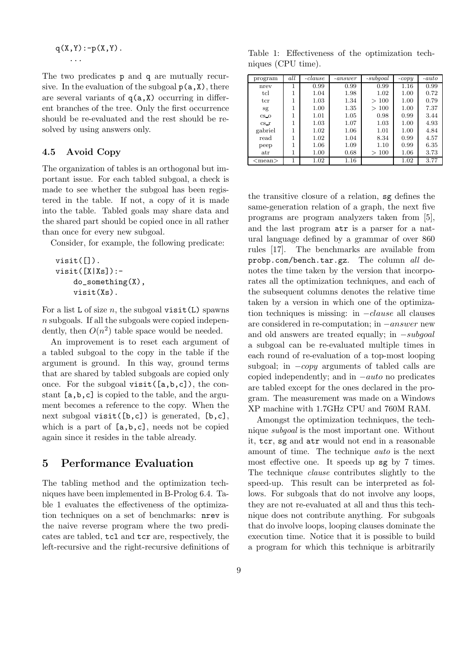$$
q(X,Y):-p(X,Y).
$$

...

The two predicates p and q are mutually recursive. In the evaluation of the subgoal  $p(a,X)$ , there are several variants of  $q(a,X)$  occurring in different branches of the tree. Only the first occurrence should be re-evaluated and the rest should be resolved by using answers only.

### 4.5 Avoid Copy

The organization of tables is an orthogonal but important issue. For each tabled subgoal, a check is made to see whether the subgoal has been registered in the table. If not, a copy of it is made into the table. Tabled goals may share data and the shared part should be copied once in all rather than once for every new subgoal.

Consider, for example, the following predicate:

```
visit([]).
visit([X|Xs]):-do_something(X),
    visit(Xs).
```
For a list L of size n, the subgoal visit(L) spawns n subgoals. If all the subgoals were copied independently, then  $O(n^2)$  table space would be needed.

An improvement is to reset each argument of a tabled subgoal to the copy in the table if the argument is ground. In this way, ground terms that are shared by tabled subgoals are copied only once. For the subgoal visit([a,b,c]), the constant [a,b,c] is copied to the table, and the argument becomes a reference to the copy. When the next subgoal visit([b,c]) is generated, [b,c], which is a part of  $[a,b,c]$ , needs not be copied again since it resides in the table already.

# 5 Performance Evaluation

The tabling method and the optimization techniques have been implemented in B-Prolog 6.4. Table 1 evaluates the effectiveness of the optimization techniques on a set of benchmarks: nrev is the naive reverse program where the two predicates are tabled, tcl and tcr are, respectively, the left-recursive and the right-recursive definitions of

Table 1: Effectiveness of the optimization techniques (CPU time).

| program      | all | $-clause$ | $-answer$ | $-subgoal$ | $-copy$ | $-auto$ |
|--------------|-----|-----------|-----------|------------|---------|---------|
| nrev         |     | 0.99      | 0.99      | 0.99       | 1.16    | 0.99    |
| tcl          | 1   | 1.04      | 1.98      | 1.02       | 1.00    | 0.72    |
| $_{\rm tcr}$ | 1   | 1.03      | 1.34      | >100       | 1.00    | 0.79    |
| sg           | 1   | 1.00      | 1.35      | >100       | 1.00    | 7.37    |
| $CS$ O       |     | 1.01      | 1.05      | 0.98       | 0.99    | 3.44    |
| cs r         |     | 1.03      | 1.07      | 1.03       | 1.00    | 4.93    |
| gabriel      |     | 1.02      | 1.06      | 1.01       | 1.00    | 4.84    |
| read         | 1   | 1.02      | 1.04      | 8.34       | 0.99    | 4.57    |
| peep         |     | 1.06      | 1.09      | 1.10       | 0.99    | 6.35    |
| $_{\rm atr}$ |     | 1.00      | 0.68      | >100       | 1.06    | 3.73    |
| $<$ mean $>$ |     | 1.02      | 1.16      |            | 1.02    | 3.77    |

the transitive closure of a relation, sg defines the same-generation relation of a graph, the next five programs are program analyzers taken from [5], and the last program atr is a parser for a natural language defined by a grammar of over 860 rules [17]. The benchmarks are available from probp.com/bench.tar.gz. The column all denotes the time taken by the version that incorporates all the optimization techniques, and each of the subsequent columns denotes the relative time taken by a version in which one of the optimization techniques is missing: in  $-clause$  all clauses are considered in re-computation; in −answer new and old answers are treated equally; in −subgoal a subgoal can be re-evaluated multiple times in each round of re-evaluation of a top-most looping subgoal; in  $-copy$  arguments of tabled calls are copied independently; and in −auto no predicates are tabled except for the ones declared in the program. The measurement was made on a Windows XP machine with 1.7GHz CPU and 760M RAM.

Amongst the optimization techniques, the technique subgoal is the most important one. Without it, tcr, sg and atr would not end in a reasonable amount of time. The technique auto is the next most effective one. It speeds up sg by 7 times. The technique *clause* contributes slightly to the speed-up. This result can be interpreted as follows. For subgoals that do not involve any loops, they are not re-evaluated at all and thus this technique does not contribute anything. For subgoals that do involve loops, looping clauses dominate the execution time. Notice that it is possible to build a program for which this technique is arbitrarily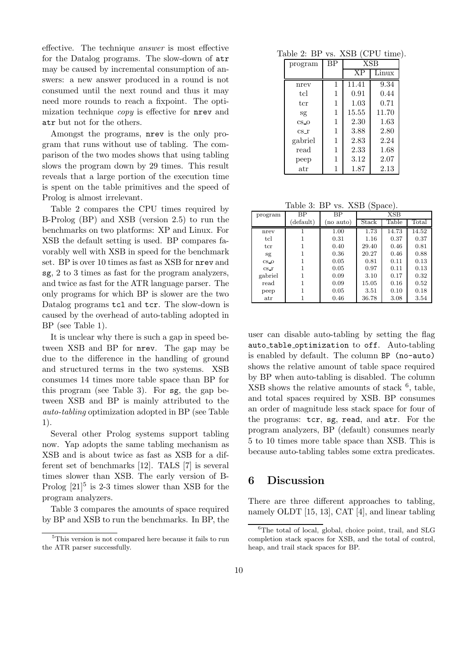effective. The technique answer is most effective for the Datalog programs. The slow-down of atr may be caused by incremental consumption of answers: a new answer produced in a round is not consumed until the next round and thus it may need more rounds to reach a fixpoint. The optimization technique copy is effective for nrev and atr but not for the others.

Amongst the programs, nrev is the only program that runs without use of tabling. The comparison of the two modes shows that using tabling slows the program down by 29 times. This result reveals that a large portion of the execution time is spent on the table primitives and the speed of Prolog is almost irrelevant.

Table 2 compares the CPU times required by B-Prolog (BP) and XSB (version 2.5) to run the benchmarks on two platforms: XP and Linux. For XSB the default setting is used. BP compares favorably well with XSB in speed for the benchmark set. BP is over 10 times as fast as XSB for nrev and sg, 2 to 3 times as fast for the program analyzers, and twice as fast for the ATR language parser. The only programs for which BP is slower are the two Datalog programs tcl and tcr. The slow-down is caused by the overhead of auto-tabling adopted in BP (see Table 1).

It is unclear why there is such a gap in speed between XSB and BP for nrev. The gap may be due to the difference in the handling of ground and structured terms in the two systems. XSB consumes 14 times more table space than BP for this program (see Table 3). For sg, the gap between XSB and BP is mainly attributed to the auto-tabling optimization adopted in BP (see Table 1).

Several other Prolog systems support tabling now. Yap adopts the same tabling mechanism as XSB and is about twice as fast as XSB for a different set of benchmarks [12]. TALS [7] is several times slower than XSB. The early version of B-Prolog  $[21]$ <sup>5</sup> is 2-3 times slower than XSB for the program analyzers.

Table 3 compares the amounts of space required by BP and XSB to run the benchmarks. In BP, the

Table 2: BP vs. XSB (CPU time).

| program      | BP | <b>XSB</b> |       |  |
|--------------|----|------------|-------|--|
|              |    |            | Linux |  |
| nrev         | 1  | 11.41      | 9.34  |  |
| tcl          | 1  | 0.91       | 0.44  |  |
| ter          | 1  | 1.03       | 0.71  |  |
| Sg           | 1  | 15.55      | 11.70 |  |
| $CS_0$       | 1  | 2.30       | 1.63  |  |
| $cs_1$       | 1  | 3.88       | 2.80  |  |
| gabriel      | 1  | 2.83       | 2.24  |  |
| read         | 1  | 2.33       | 1.68  |  |
| peep         | 1  | 3.12       | 2.07  |  |
| $_{\rm atr}$ | 1  | 1.87       | 2.13  |  |

Table 3: BP vs. XSB (Space).

| program         | ВP        | ВP        | XSB   |       |       |
|-----------------|-----------|-----------|-------|-------|-------|
|                 | (default) | (no auto) | Stack | Table | Total |
| nrev            |           | 1.00      | 1.73  | 14.73 | 14.52 |
| tcl             |           | 0.31      | 1.16  | 0.37  | 0.37  |
| $_{\rm tcr}$    |           | 0.40      | 29.40 | 0.46  | 0.81  |
| sg              |           | 0.36      | 20.27 | 0.46  | 0.88  |
| $CS$ O          |           | 0.05      | 0.81  | 0.11  | 0.13  |
| cs <sub>r</sub> |           | 0.05      | 0.97  | 0.11  | 0.13  |
| gabriel         |           | 0.09      | 3.10  | 0.17  | 0.32  |
| $_{\rm read}$   |           | 0.09      | 15.05 | 0.16  | 0.52  |
| peep            |           | 0.05      | 3.51  | 0.10  | 0.18  |
| $_{\rm atr}$    |           | 0.46      | 36.78 | 3.08  | 3.54  |

user can disable auto-tabling by setting the flag auto table optimization to off. Auto-tabling is enabled by default. The column BP (no-auto) shows the relative amount of table space required by BP when auto-tabling is disabled. The column  $XSB$  shows the relative amounts of stack  $6$ , table, and total spaces required by XSB. BP consumes an order of magnitude less stack space for four of the programs: tcr, sg, read, and atr. For the program analyzers, BP (default) consumes nearly 5 to 10 times more table space than XSB. This is because auto-tabling tables some extra predicates.

# 6 Discussion

There are three different approaches to tabling, namely OLDT [15, 13], CAT [4], and linear tabling

<sup>5</sup>This version is not compared here because it fails to run the ATR parser successfully.

 ${}^{6}$ The total of local, global, choice point, trail, and SLG completion stack spaces for XSB, and the total of control, heap, and trail stack spaces for BP.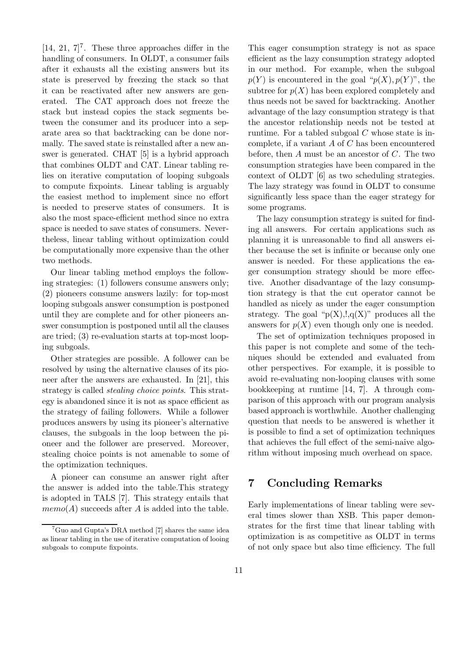$[14, 21, 7]^7$ . These three approaches differ in the handling of consumers. In OLDT, a consumer fails after it exhausts all the existing answers but its state is preserved by freezing the stack so that it can be reactivated after new answers are generated. The CAT approach does not freeze the stack but instead copies the stack segments between the consumer and its producer into a separate area so that backtracking can be done normally. The saved state is reinstalled after a new answer is generated. CHAT [5] is a hybrid approach that combines OLDT and CAT. Linear tabling relies on iterative computation of looping subgoals to compute fixpoints. Linear tabling is arguably the easiest method to implement since no effort is needed to preserve states of consumers. It is also the most space-efficient method since no extra space is needed to save states of consumers. Nevertheless, linear tabling without optimization could be computationally more expensive than the other two methods.

Our linear tabling method employs the following strategies: (1) followers consume answers only; (2) pioneers consume answers lazily: for top-most looping subgoals answer consumption is postponed until they are complete and for other pioneers answer consumption is postponed until all the clauses are tried; (3) re-evaluation starts at top-most looping subgoals.

Other strategies are possible. A follower can be resolved by using the alternative clauses of its pioneer after the answers are exhausted. In [21], this strategy is called stealing choice points. This strategy is abandoned since it is not as space efficient as the strategy of failing followers. While a follower produces answers by using its pioneer's alternative clauses, the subgoals in the loop between the pioneer and the follower are preserved. Moreover, stealing choice points is not amenable to some of the optimization techniques.

A pioneer can consume an answer right after the answer is added into the table.This strategy is adopted in TALS [7]. This strategy entails that  $memo(A)$  succeeds after A is added into the table.

This eager consumption strategy is not as space efficient as the lazy consumption strategy adopted in our method. For example, when the subgoal  $p(Y)$  is encountered in the goal " $p(X)$ ,  $p(Y)$ ", the subtree for  $p(X)$  has been explored completely and thus needs not be saved for backtracking. Another advantage of the lazy consumption strategy is that the ancestor relationship needs not be tested at runtime. For a tabled subgoal  $C$  whose state is incomplete, if a variant  $A$  of  $C$  has been encountered before, then  $A$  must be an ancestor of  $C$ . The two consumption strategies have been compared in the context of OLDT [6] as two scheduling strategies. The lazy strategy was found in OLDT to consume significantly less space than the eager strategy for some programs.

The lazy consumption strategy is suited for finding all answers. For certain applications such as planning it is unreasonable to find all answers either because the set is infinite or because only one answer is needed. For these applications the eager consumption strategy should be more effective. Another disadvantage of the lazy consumption strategy is that the cut operator cannot be handled as nicely as under the eager consumption strategy. The goal " $p(X), q(X)$ " produces all the answers for  $p(X)$  even though only one is needed.

The set of optimization techniques proposed in this paper is not complete and some of the techniques should be extended and evaluated from other perspectives. For example, it is possible to avoid re-evaluating non-looping clauses with some bookkeeping at runtime [14, 7]. A through comparison of this approach with our program analysis based approach is worthwhile. Another challenging question that needs to be answered is whether it is possible to find a set of optimization techniques that achieves the full effect of the semi-naive algorithm without imposing much overhead on space.

# 7 Concluding Remarks

Early implementations of linear tabling were several times slower than XSB. This paper demonstrates for the first time that linear tabling with optimization is as competitive as OLDT in terms of not only space but also time efficiency. The full

 ${}^{7}$ Guo and Gupta's DRA method [7] shares the same idea as linear tabling in the use of iterative computation of looing subgoals to compute fixpoints.